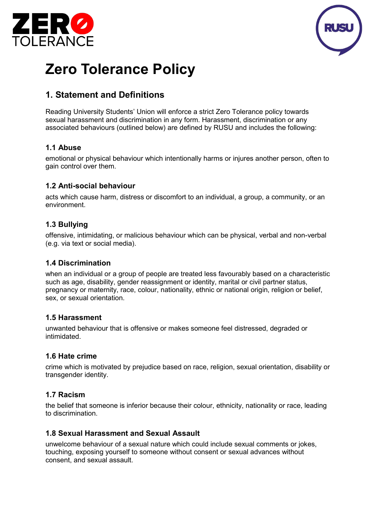



# **Zero Tolerance Policy**

# **1. Statement and Definitions**

Reading University Students' Union will enforce a strict Zero Tolerance policy towards sexual harassment and discrimination in any form. Harassment, discrimination or any associated behaviours (outlined below) are defined by RUSU and includes the following:

#### **1.1 Abuse**

emotional or physical behaviour which intentionally harms or injures another person, often to gain control over them.

#### **1.2 Anti-social behaviour**

acts which cause harm, distress or discomfort to an individual, a group, a community, or an environment.

#### **1.3 Bullying**

offensive, intimidating, or malicious behaviour which can be physical, verbal and non-verbal (e.g. via text or social media).

#### **1.4 Discrimination**

when an individual or a group of people are treated less favourably based on a characteristic such as age, disability, gender reassignment or identity, marital or civil partner status, pregnancy or maternity, race, colour, nationality, ethnic or national origin, religion or belief, sex, or sexual orientation.

#### **1.5 Harassment**

unwanted behaviour that is offensive or makes someone feel distressed, degraded or intimidated.

#### **1.6 Hate crime**

crime which is motivated by prejudice based on race, religion, sexual orientation, disability or transgender identity.

#### **1.7 Racism**

the belief that someone is inferior because their colour, ethnicity, nationality or race, leading to discrimination.

#### **1.8 Sexual Harassment and Sexual Assault**

unwelcome behaviour of a sexual nature which could include sexual comments or jokes, touching, exposing yourself to someone without consent or sexual advances without consent, and sexual assault.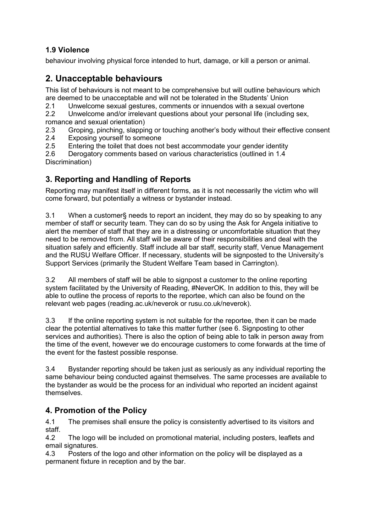## **1.9 Violence**

behaviour involving physical force intended to hurt, damage, or kill a person or animal.

# **2. Unacceptable behaviours**

This list of behaviours is not meant to be comprehensive but will outline behaviours which

are deemed to be unacceptable and will not be tolerated in the Students' Union<br>2.1 Unwelcome sexual gestures, comments or innuendos with a sexual over

2.1 Unwelcome sexual gestures, comments or innuendos with a sexual overtone<br>2.2 Unwelcome and/or irrelevant questions about vour personal life (including sex Unwelcome and/or irrelevant questions about your personal life (including sex,

- romance and sexual orientation)<br>2.3 Groping, pinching, slappir 2.3 Groping, pinching, slapping or touching another's body without their effective consent<br>2.4 Exposing vourself to someone
- 
- 2.4 Exposing yourself to someone<br>2.5 Entering the toilet that does no Entering the toilet that does not best accommodate your gender identity

2.6 Derogatory comments based on various characteristics (outlined in 1.4 Discrimination)

# **3. Reporting and Handling of Reports**

Reporting may manifest itself in different forms, as it is not necessarily the victim who will come forward, but potentially a witness or bystander instead.

3.1 When a customer§ needs to report an incident, they may do so by speaking to any member of staff or security team. They can do so by using the Ask for Angela initiative to alert the member of staff that they are in a distressing or uncomfortable situation that they need to be removed from. All staff will be aware of their responsibilities and deal with the situation safely and efficiently. Staff include all bar staff, security staff, Venue Management and the RUSU Welfare Officer. If necessary, students will be signposted to the University's Support Services (primarily the Student Welfare Team based in Carrington).

3.2 All members of staff will be able to signpost a customer to the online reporting system facilitated by the University of Reading, #NeverOK. In addition to this, they will be able to outline the process of reports to the reportee, which can also be found on the relevant web pages (reading.ac.uk/neverok or rusu.co.uk/neverok).

3.3 If the online reporting system is not suitable for the reportee, then it can be made clear the potential alternatives to take this matter further (see 6. Signposting to other services and authorities). There is also the option of being able to talk in person away from the time of the event, however we do encourage customers to come forwards at the time of the event for the fastest possible response.

3.4 Bystander reporting should be taken just as seriously as any individual reporting the same behaviour being conducted against themselves. The same processes are available to the bystander as would be the process for an individual who reported an incident against themselves.

## **4. Promotion of the Policy**

4.1 The premises shall ensure the policy is consistently advertised to its visitors and staff.

4.2 The logo will be included on promotional material, including posters, leaflets and email signatures.

4.3 Posters of the logo and other information on the policy will be displayed as a permanent fixture in reception and by the bar.